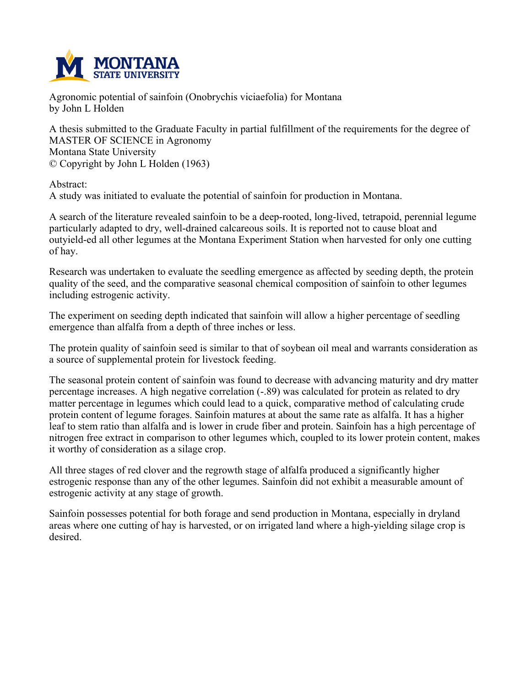

**Agronomic potential of sainfoin (Onobrychis viciaefolia) for Montana by John L Holden**

**A thesis submitted to the Graduate Faculty in partial fulfillment of the requirements for the degree of MASTER OF SCIENCE in Agronomy Montana State University © Copyright by John L Holden (1963)**

**Abstract:**

**A study was initiated to evaluate the potential of sainfoin for production in Montana.**

**A search of the literature revealed sainfoin to be a deep-rooted, long-lived, tetrapoid, perennial legume particularly adapted to dry, well-drained calcareous soils. It is reported not to cause bloat and outyield-ed all other legumes at the Montana Experiment Station when harvested for only one cutting of hay.**

**Research was undertaken to evaluate the seedling emergence as affected by seeding depth, the protein quality of the seed, and the comparative seasonal chemical composition of sainfoin to other legumes including estrogenic activity.**

**The experiment on seeding depth indicated that sainfoin will allow a higher percentage of seedling emergence than alfalfa from a depth of three inches or less.**

The protein quality of sainfoin seed is similar to that of soybean oil meal and warrants consideration as **a source of supplemental protein for livestock feeding.**

**The seasonal protein content of sainfoin was found to decrease with advancing maturity and dry matter percentage increases. A high negative correlation (-.89) was calculated for protein as related to dry matter percentage in legumes which could lead to a quick, comparative method of calculating crude** protein content of legume forages. Sainfoin matures at about the same rate as alfalfa. It has a higher leaf to stem ratio than alfalfa and is lower in crude fiber and protein. Sainfoin has a high percentage of **nitrogen free extract in comparison to other legumes which, coupled to its lower protein content, makes it worthy of consideration as a silage crop.**

**All three stages of red clover and the regrowth stage of alfalfa produced a significantly higher estrogenic response than any of the other legumes. Sainfoin did not exhibit a measurable amount of estrogenic activity at any stage of growth.**

**Sainfoin possesses potential for both forage and send production in Montana, especially in dryland** areas where one cutting of hay is harvested, or on irrigated land where a high-vielding silage crop is **desired.**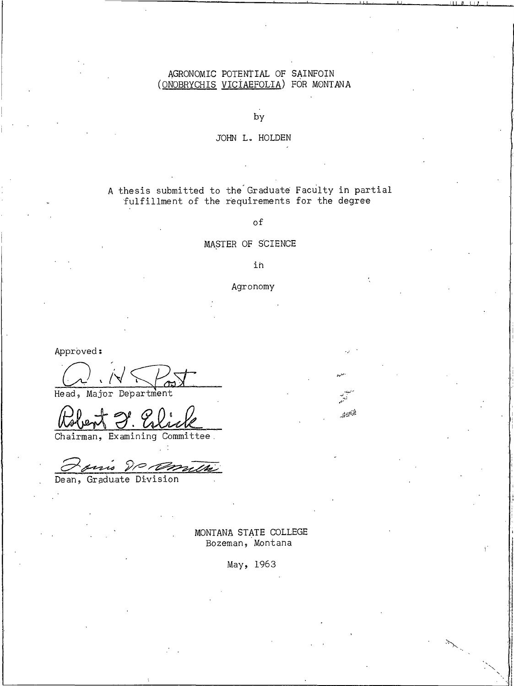# AGRONOMIC POTENTIAL OF SAINFOIN (ONOBRYCHIS VICIAEFOLIA) FOR MONTANA

by

#### JOHN L. HOLDEN

# A thesis submitted to the Graduate Faculty in partial fulfillment of the requirements for the degree

 $\circ$ f

#### MASTER OF SCIENCE

#### i'n

#### Agronomy

 $\mathbb{Z}^m$ 

Approved:

Head, Major Department

Chairman, Examining Committee.

Dean, Graduate Division

MONTANA STATE COLLEGE Bozeman, Montana

May, 1963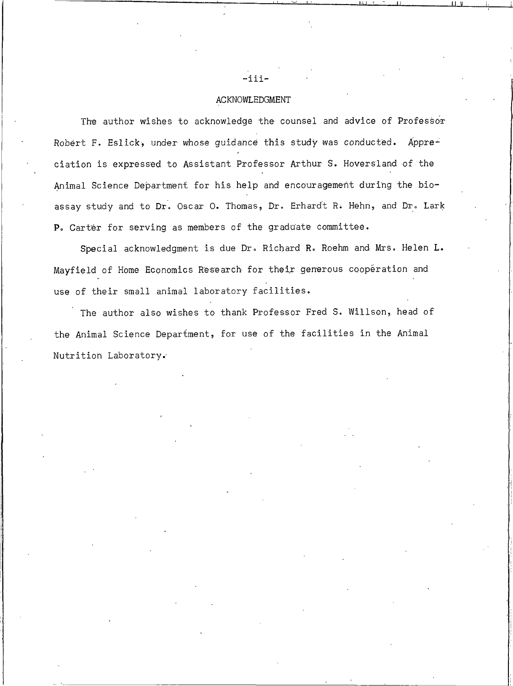#### ACKNOWLEDGMENT

The author wishes to acknowledge the counsel and advice of Professor Robert F. Eslick, under whose guidance this study was conducted. Appreciation is expressed to Assistant Professor Arthur S. Hoversland of the Animal Science Department for his help and encouragement during the bioassay study and to Dr. Oscar O. Thomas, Dr. Erhardt R. Hehn, and Dr. Lark P. Carter for serving as members of the graduate committee.

Special acknowledgment is due Dr. Richard R. Roehm and Mrs. Helen L. Mayfield of Home Economics Research for their generous cooperation and use of their small animal laboratory facilities.

The author also wishes to thank Professor Fred S. Willson, head of the Animal Science Department, for use of the facilities in the Animal Nutrition Laboratory.

 $-i$ iii-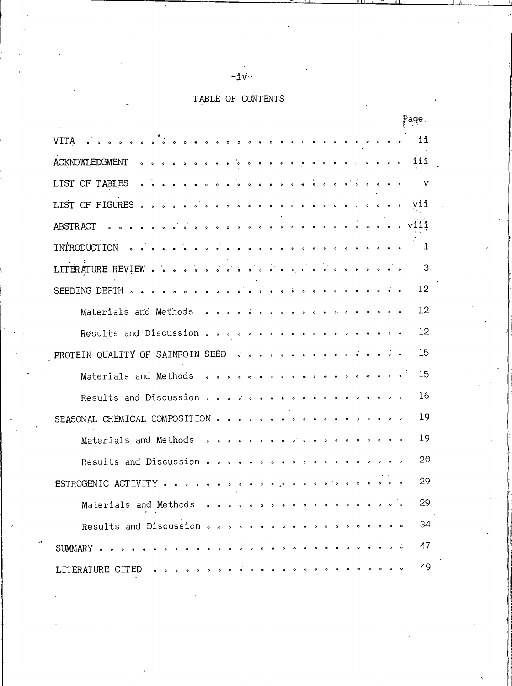# TABLE OF CONTENTS

| Page .                                                                                                                                                                                                                                                                                                                             |              |
|------------------------------------------------------------------------------------------------------------------------------------------------------------------------------------------------------------------------------------------------------------------------------------------------------------------------------------|--------------|
| $\bullet$<br>$\circ$ $\circ$<br>VITA<br>$\bullet$<br>$\circ$<br>$\begin{array}{ccccccccccccccccc} \circ & \circ & \circ & \circ & \circ & \circ & \circ \end{array}$<br>$\bullet$                                                                                                                                                  | ii           |
| iii<br>ACKNOWLEDGMENT<br>$\begin{array}{cccccccccccccc} \bullet & \bullet & \bullet & \bullet & \bullet & \bullet & \bullet & \bullet & \bullet \end{array}$<br>$\bullet$ $\bullet$ $\bullet$ $\bullet$<br>$\ddot{\bullet}$<br>$\bullet$<br>$\bullet$<br>$\bullet$                                                                 |              |
| OF TABLES<br>$\circ$ $\circ$ $\circ$<br>LIST                                                                                                                                                                                                                                                                                       | v            |
| LIST OF FIGURES<br>$\ddot{\phantom{a}}$<br>$\bullet$<br>$\vec{\bullet}$<br>$\bullet$<br>$\hat{\mathbf{o}}$<br>$\circ$<br>$\bullet$<br>$\bullet$<br>$\bullet$<br>$\bullet$<br>$\begin{array}{ccccccccccccccccc} \bullet & \bullet & \bullet & \circ & \circ & \bullet & \bullet & \end{array}$<br>$\ddot{\phantom{0}}$<br>$\bullet$ | vii          |
| viii<br>$\vec{\bullet}$<br>$\bullet$<br>$\bullet$<br>ABSTRACT<br>$\ddot{\phantom{0}}$<br>$\ddot{\bullet}$<br>$\ddot{\phantom{0}}$<br>$\bullet$<br>$\bullet$<br>$\ddot{\bullet}$<br>$\ddot{\phantom{0}}$<br>$\bullet$<br>$\ddot{\bullet}$<br>$\bullet$                                                                              |              |
| INTRODUCTION<br>$\bullet$<br>$\bullet$<br>$01$ $01$<br>$\bullet$                                                                                                                                                                                                                                                                   | $\mathbf{I}$ |
| $\vec{a}$<br>$\begin{array}{cccccccccccccc} \bullet & \bullet & \bullet & \bullet & \bullet & \bullet \end{array}$<br>LITERATURE REVIEW<br>$\bullet^{\prime}$<br>$\ddot{\phantom{a}}$<br>$\ddot{\bullet}$<br>$\bullet$<br>$\circ$ $\circ$<br>$\bullet$<br>$\bullet$<br>$\ddot{\phantom{a}}$<br>$\bullet$<br>$\bullet$              | 3            |
| SEEDING DEPTH<br>$\bullet$<br>$\ddot{\phantom{0}}$<br>$\bullet$ $\bullet$                                                                                                                                                                                                                                                          | 12           |
| Materials and Methods<br>$\sim$ $\sim$<br>$\ddot{\bullet}$<br>$\circ$<br>$\overline{\phantom{a}}$<br>$\overline{\phantom{a}}$<br>$\ddot{\phantom{a}}$<br>$\bullet$<br>$\bullet$<br>$\bullet$                                                                                                                                       | 12           |
| Results and Discussion<br>$\bullet$ $\bullet$ $\bullet$<br>$\bullet$<br>$\bullet$<br>$\bullet$<br>$\bullet$<br>$\ddot{\phantom{0}}$<br>$\bullet$                                                                                                                                                                                   | $12 \$       |
| PROTEIN QUALITY OF SAINFOIN SEED<br>$\begin{array}{ccccccccccccccccc} \bullet & \circ & \circ & \circ & \circ & \circ & \circ \end{array}$<br>$\vec{\bullet}$<br>$\bullet$                                                                                                                                                         | 15           |
| Materials and Methods<br>$\begin{array}{ccccccccccccccccc} \bullet & \bullet & \bullet & \bullet & \bullet & \bullet & \bullet & \bullet & \bullet \end{array}$<br>$\bullet$ $\bullet$<br>$\bullet$<br>$\circ$<br>$\bullet$                                                                                                        | 15           |
| Results and Discussion<br>$\sigma$ $\sigma$<br>$\bullet$<br>$\circ$<br>$\circ$<br>$\bullet$                                                                                                                                                                                                                                        | 16           |
| SEASONAL CHEMICAL COMPOSITION<br>$\bullet$<br>$\bullet$<br>$0$ $0$ $0$ $0$ $0$ $0$<br>$\bullet$<br>$\bullet$<br>$\bullet$<br>$\bullet$<br>$\bullet$<br>$\bullet$                                                                                                                                                                   | 19           |
| Materials and Methods<br>$\begin{array}{ccccccccccccccccc} \circ & \circ & \circ & \circ & \circ & \circ & \circ \end{array}$<br>$\ddot{\phantom{0}}$<br>$\circ$<br>$\bullet$<br>$\bullet$<br>$\bullet$<br>$\bullet$<br>$\bullet$<br>$\bullet$<br>$\bullet$<br>$\bullet$                                                           | 19           |
| Results and Discussion.<br>$\bullet$<br>$\bullet$<br>$\bullet$<br>$\bullet$<br>$\bullet$<br>$\circ$<br>$\bullet$<br>$\bullet$<br>$\bullet$                                                                                                                                                                                         | 20           |
| ESTROGENIC ACTIVITY<br>$\circ$ $\circ$<br>$\bullet$<br>$\circ$ $\circ$<br>$\bullet$<br>$\bullet$<br>$\bullet$<br>$\ddot{\phantom{0}}$<br>$\circ$ $\circ$<br>$\bullet$<br>$\bullet$<br>$\cdot$ .<br>$\circ$<br>$\bullet$<br>$\bullet$                                                                                               | 29           |
| Materials and Methods<br>$\bullet$<br>$\bullet$<br>$\bullet$<br>$\bullet$<br>$\bullet$<br>$\bullet$<br>$\bullet$<br>$\bullet$<br>$\bullet$<br>$\bullet$<br>$\bullet$<br>$\bullet$<br>$\bullet$                                                                                                                                     | 29           |
| Results and Discussion<br>$\bullet$<br>$\bullet$<br>$\bullet$<br>$\ddot{\phantom{0}}$<br>$\bullet$<br>$\bullet$<br>$\bullet$<br>$\bullet$<br>$\bullet$                                                                                                                                                                             | 34           |
| SUMMARY<br>$\sim$ $\sim$ $\sim$<br>$\bullet$<br>$\bullet$<br>$\bullet$<br>$\bullet$                                                                                                                                                                                                                                                | 47           |
| LITERATURE CITED                                                                                                                                                                                                                                                                                                                   | 49           |

# $-iv-$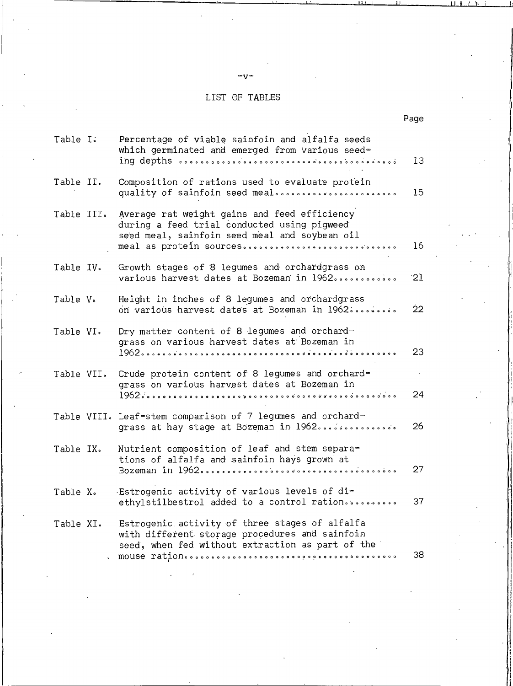# LIST OF TABLES

| Table I.   | Percentage of viable sainfoin and alfalfa seeds<br>which germinated and emerged from various seed-                                                                      | 13              |
|------------|-------------------------------------------------------------------------------------------------------------------------------------------------------------------------|-----------------|
| Table II.  | Composition of rations used to evaluate protein<br>quality of sainfoin seed meal                                                                                        | 15.             |
| Table III. | Average rat weight gains and feed efficiency<br>during a feed trial conducted using pigweed<br>seed meal, sainfoin seed meal and soybean oil<br>meal as protein sources | 16              |
| Table IV.  | Growth stages of 8 legumes and orchardgrass on<br>various harvest dates at Bozeman in 1962                                                                              | 21              |
| Table V.   | Height in inches of 8 legumes and orchardgrass<br>on various harvest dates at Bozeman in 1962                                                                           | 22 <sub>2</sub> |
| Table VI.  | Dry matter content of 8 legumes and orchard-<br>grass on various harvest dates at Bozeman in                                                                            | 23              |
| Table VII. | Crude protein content of 8 legumes and orchard-<br>grass on various harvest dates at Bozeman in                                                                         | 24              |
|            | Table VIII. Leaf-stem comparison of 7 legumes and orchard-<br>grass at hay stage at Bozeman in 1962                                                                     | 26.             |
| Table IX.  | Nutrient composition of leaf and stem separa-<br>tions of alfalfa and sainfoin hays grown at                                                                            | 27              |
| Table X.   | Estrogenic activity of various levels of di-<br>ethylstilbestrol added to a control ration                                                                              | 37              |
| Table XI.  | Estrogenic activity of three stages of alfalfa<br>with different storage procedures and sainfoin<br>seed, when fed without extraction as part of the                    | 38              |
|            |                                                                                                                                                                         |                 |

Page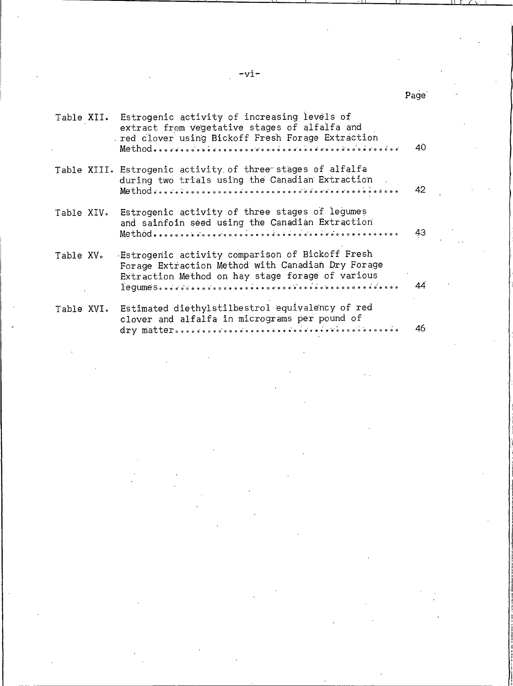$-\mathrm{v}\mathrm{i}$  –

 $\ddot{\phantom{a}}$ 

|            | Table XII. Estrogenic activity of increasing levels of<br>extract from vegetative stages of alfalfa and<br>red clover using Bickoff Fresh Forage Extraction<br>$\textbf{Method} \textcolor{red}{\bullet} \textcolor{red}{\bullet} \textcolor{red}{\bullet} \textcolor{red}{\bullet} \textcolor{red}{\bullet} \textcolor{red}{\bullet} \textcolor{red}{\bullet} \textcolor{red}{\bullet} \textcolor{red}{\bullet} \textcolor{red}{\bullet} \textcolor{red}{\bullet} \textcolor{red}{\bullet} \textcolor{red}{\bullet} \textcolor{red}{\bullet} \textcolor{red}{\bullet} \textcolor{red}{\bullet} \textcolor{red}{\bullet} \textcolor{red}{\bullet} \textcolor{red}{\bullet} \textcolor{red}{\bullet} \textcolor{red}{\bullet} \textcolor{red}{\bullet} \textcolor{red}{\bullet} \textcolor{red}{\$ | 40 |
|------------|---------------------------------------------------------------------------------------------------------------------------------------------------------------------------------------------------------------------------------------------------------------------------------------------------------------------------------------------------------------------------------------------------------------------------------------------------------------------------------------------------------------------------------------------------------------------------------------------------------------------------------------------------------------------------------------------------------------------------------------------------------------------------------------------------|----|
|            | Table XIII. Estrogenic activity of three stages of alfalfa<br>during two trials using the Canadian Extraction                                                                                                                                                                                                                                                                                                                                                                                                                                                                                                                                                                                                                                                                                     | 42 |
|            | Table XIV. Estrogenic activity of three stages of legumes<br>and sainfoin seed using the Canadian Extraction                                                                                                                                                                                                                                                                                                                                                                                                                                                                                                                                                                                                                                                                                      | 43 |
| Table XV。  | Estrogenic activity comparison of Bickoff Fresh<br>Forage Extraction Method with Canadian Dry Forage<br>Extraction Method on hay stage forage of various                                                                                                                                                                                                                                                                                                                                                                                                                                                                                                                                                                                                                                          | 44 |
| Table XVI. | Estimated diethylstilbestrol equivalency of red<br>clover and alfalfa in micrograms per pound of                                                                                                                                                                                                                                                                                                                                                                                                                                                                                                                                                                                                                                                                                                  | 46 |

# Page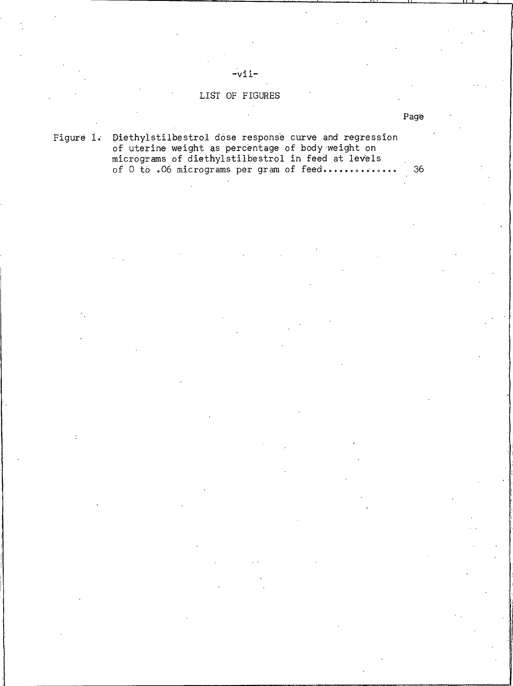# LIST OF FIGURES

 $-vii$ -

Figure 1. Diethylstilbestrol dose response curve and regression of uterine weight as percentage of body weight on<br>micrograms of diethylstilbestrol in feed at levels of 0 to .06 micrograms per gram of feed..............  $36$ 

Page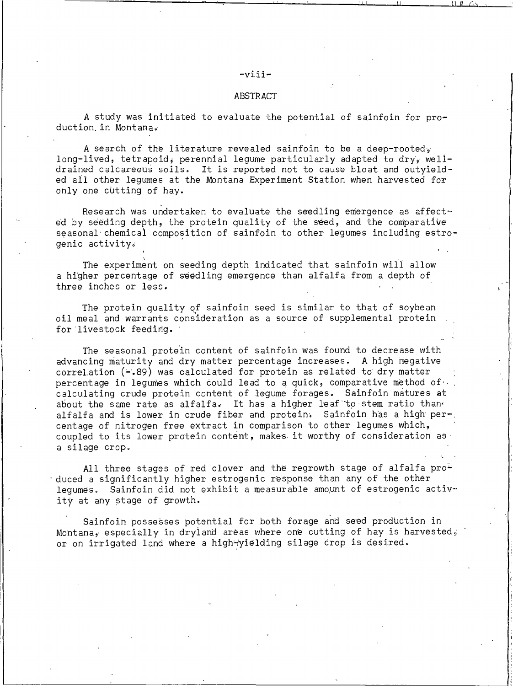#### -viii-

#### **ABSTRACT**

A study was initiated to evaluate the potential of sainfoin for production in Montana.

A search of the literature revealed sainfoin to be a deep-rooted. long-lived, tetrapoid, perennial legume particularly adapted to dry, welldrained calcareous soils. It is reported not to cause bloat and outyielded all other legumes at the Montana Experiment Station when harvested for only one cutting of hay.

Research was undertaken to evaluate the seedling emergence as affected by seeding depth, the protein quality of the seed, and the comparative seasonal chemical composition of sainfoin to other legumes including estrogenic activity.

The experiment on seeding depth indicated that sainfoin will allow a higher percentage of seedling emergence than alfalfa from a depth of three inches or less.

The protein quality of sainfoin seed is similar to that of soybean oil meal and warrants consideration as a source of supplemental protein for livestock feeding.

The seasonal protein content of sainfoin was found to decrease with advancing maturity and dry matter percentage increases. A high negative correlation (-.89) was calculated for protein as related to dry matter percentage in legumes which could lead to a quick, comparative method of. calculating crude protein content of legume forages. Sainfoin matures at about the same rate as alfalfa. It has a higher leaf to stem ratio than alfalfa and is lower in crude fiber and protein. Sainfoin has a high per-. centage of nitrogen free extract in comparison to other legumes which, coupled to its lower protein content, makes it worthy of consideration as a silage crop.

All three stages of red clover and the regrowth stage of alfalfa produced a significantly higher estrogenic response than any of the other lequmes. Sainfoin did not exhibit a measurable amount of estrogenic activity at any stage of growth.

Sainfoin possesses potential for both forage and seed production in Montana, especially in dryland areas where one cutting of hay is harvested, or on irrigated land where a high-yielding silage crop is desired.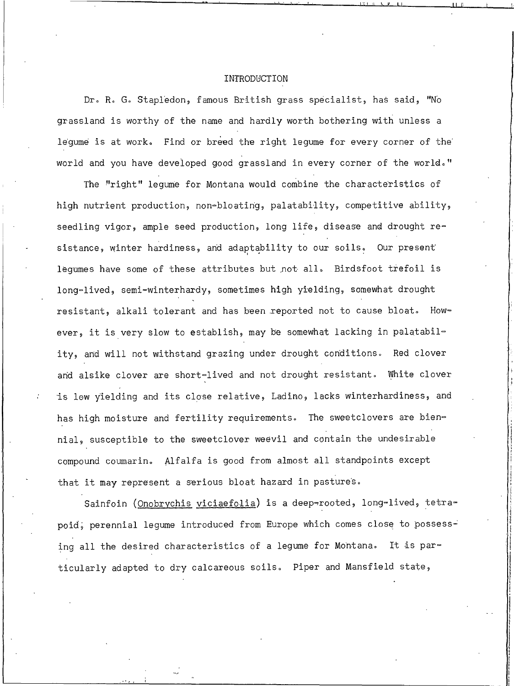#### INTRODUCTION

Dr. R. G. Stapledon, famous British grass specialist, has said, "No grassland is worthy of the name and hardly worth bothering with unless a lequme is at work. Find or breed the right lequme for every corner of the world and you have developed good grassland in every corner of the world."

The "right" legume for Montana would combine the characteristics of high nutrient production, non-bloating, palatability, competitive ability, seedling vigor, ample seed production, long life, disease and drought resistance, winter hardiness, and adaptability to our soils. Our present legumes have some of these attributes but not all. Birdsfoot trefoil is long-lived, semi-winterhardy, sometimes high yielding, somewhat drought resistant, alkali tolerant and has been reported not to cause bloat. However, it is very slow to establish, may be somewhat lacking in palatability, and will not withstand grazing under drought conditions. Red clover and alsike clover are short-lived and not drought resistant. White clover is low yielding and its close relative, Ladino, lacks winterhardiness, and has high moisture and fertility requirements. The sweetclovers are biennial, susceptible to the sweetclover weevil and contain the undesirable compound coumarin. Alfalfa is good from almost all standpoints except that it may represent a serious bloat hazard in pastures.

Sainfoin (Onobrychis viciaefolia) is a deep-rooted, long-lived, tetrapoid, perennial legume introduced from Europe which comes close to possess= ing all the desired characteristics of a legume for Montana. It is particularly adapted to dry calcareous soils. Piper and Mansfield state,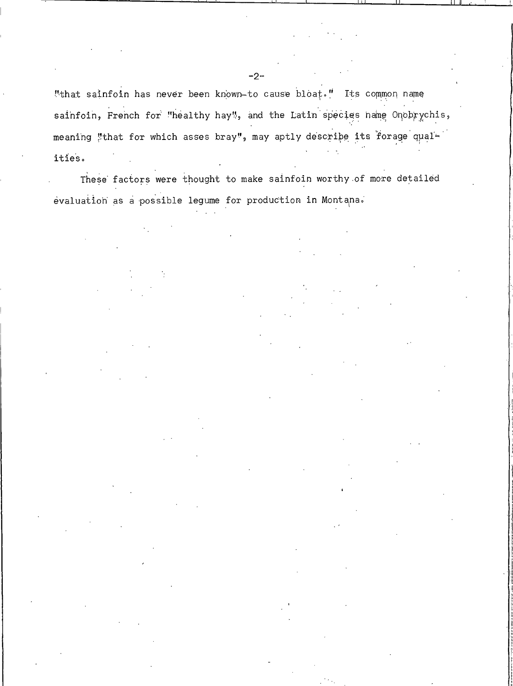"that sainfoin has never been known-to cause bloat." Its common name sainfoin, French for "healthy hay", and the Latin species name Onobrychis, meaning "that for which asses bray", may aptly describe its forage qualities.

These factors were thought to make sainfoin worthy of more detailed evaluation as a possible legume for production in Montana.

 $-2-$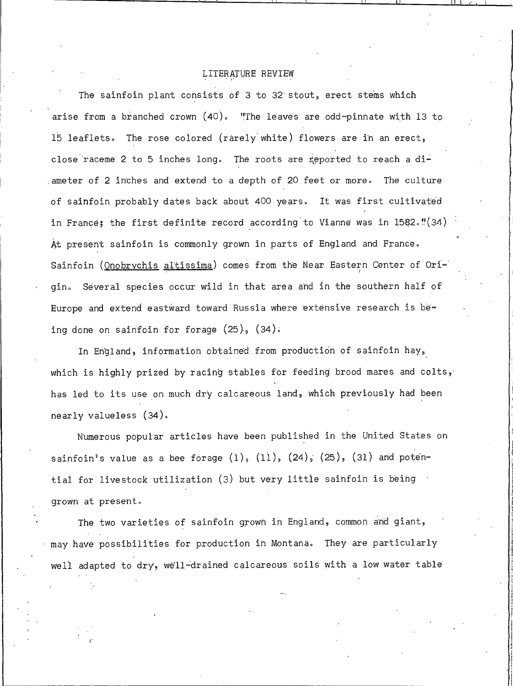# LITERATURE REVIEW

The sainfoin plant consists of 3 to 32 stout, erect stems which arise from a branched crown  $(40)$ . "The leaves are odd-pinnate with 13 to 15 leaflets. The rose colored (rarely white) flowers are in an erect, close raceme 2 to 5 inches long. The roots are reported to reach a diameter of 2 inches and extend to a depth of 20 feet or more. The culture of sainfoin probably dates back about 400 years. It was first cultivated in France; the first definite record according to Vianne was in 1582."(34) At present sainfoin is commonly grown in parts of England and France. Sainfoin (Onobrychis altissima) comes from the Near Eastern Center of Origin. Several species occur wild in that area and in the southern half of Europe and extend eastward toward Russia where extensive research is being done on sainfoin for forage (25), (34).

In England, information obtained from production of sainfoin hay, which is highly prized by racing stables for feeding brood mares and colts, has led to its use on much dry calcareous land, which previously had been nearly valueless (34).

Numerous popular articles have been published in the United States on sainfoin's value as a bee forage (1), (11), (24), (25), (31) and potential for livestock utilization (3) but very little sainfoin is being grown at present.

The two varieties of sainfoin grown in England, common and giant, may have possibilities for production in Montana. They are particularly well adapted to dry, well-drained calcareous soils with a low water table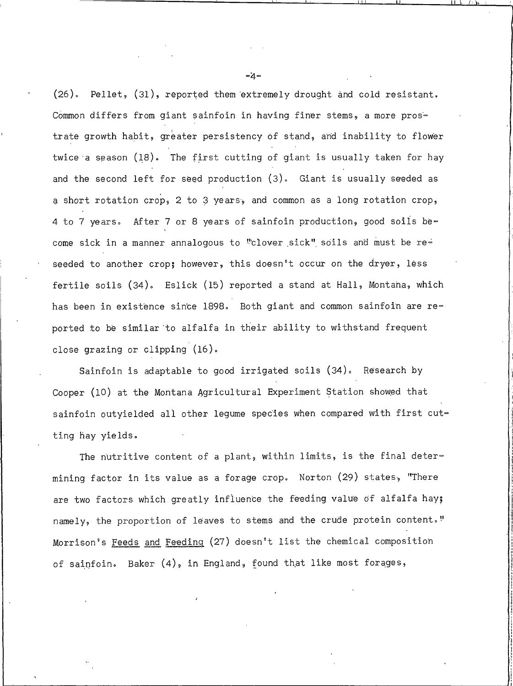Pellet, (31), reported them extremely drought and cold resistant.  $(26)$ . Common differs from giant sainfoin in having finer stems, a more prostrate growth habit, greater persistency of stand, and inability to flower twice a season (18). The first cutting of giant is usually taken for hay and the second left for seed production (3). Giant is usually seeded as a short rotation crop, 2 to 3 years, and common as a long rotation crop, 4 to 7 years. After 7 or 8 years of sainfoin production, good soils become sick in a manner annalogous to "clover sick" soils and must be reseeded to another crop; however, this doesn't occur on the dryer, less fertile soils (34). Eslick (15) reported a stand at Hall, Montana, which has been in existence since 1898. Both giant and common sainfoin are reported to be similar to alfalfa in their ability to withstand frequent close grazing or clipping (16).

Sainfoin is adaptable to good irrigated soils (34). Research by Cooper (10) at the Montana Agricultural Experiment Station showed that sainfoin outyielded all other legume species when compared with first cutting hay yields.

The nutritive content of a plant, within limits, is the final determining factor in its value as a forage crop. Norton (29) states, "There are two factors which greatly influence the feeding value of alfalfa hay; namely, the proportion of leaves to stems and the crude protein content." Morrison's Feeds and Feeding (27) doesn't list the chemical composition of sainfoin. Baker (4), in England, found that like most forages,

 $-4-$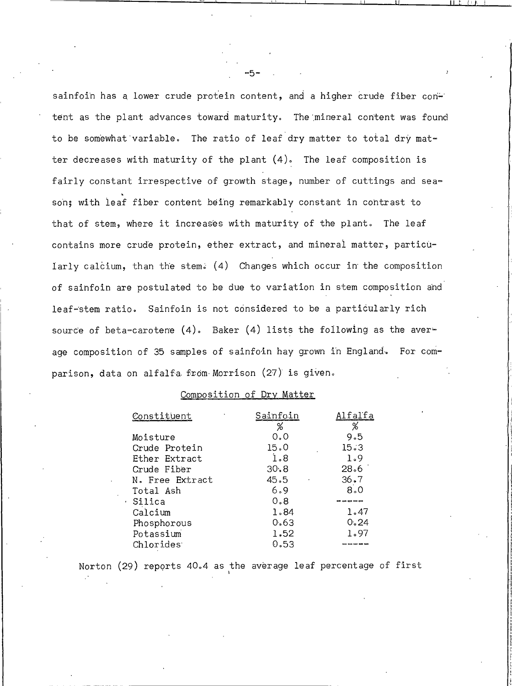sainfoin has a lower crude protein content, and a higher crude fiber content as the plant advances toward maturity. The mineral content was found to be somewhat variable. The ratio of leaf dry matter to total dry matter decreases with maturity of the plant  $(4)$ . The leaf composition is fairly constant irrespective of growth stage, number of cuttings and season; with leaf fiber content being remarkably constant in contrast to that of stem, where it increases with maturity of the plant. The leaf contains more crude protein, ether extract, and mineral matter, particularly calcium, than the stem. (4) Changes which occur in the composition of sainfoin are postulated to be due to variation in stem composition and leaf-stem ratio. Sainfoin is not considered to be a particularly rich source of beta-carotene  $(4)$ . Baker  $(4)$  lists the following as the average composition of 35 samples of sainfoin hay grown in England. For comparison, data on alfalfa from Morrison (27) is given.

# Composition of Dry Matter

| Constituent            | Sainfoin |      |
|------------------------|----------|------|
|                        | %        | %    |
| Moisture               | 0.0      | 9.5  |
| Crude Protein          | 15.0     | 15.3 |
| Ether Extract          | 1.8      | 1.9  |
| Crude Fiber            | 30, 8    | 28.6 |
| N. Free Extract        | 45.5     | 36.7 |
| Total Ash              | 6.9      | 8.0  |
| Silica                 | 0.8      | ---- |
| Calcium                | 1.84     | 1.47 |
| Phosphorous            | 0.63     | 0.24 |
| Potassium              | 1.52     | 1.97 |
| Chlorides <sup>.</sup> | 0.53     | ---- |

Norton (29) reports 40.4 as the average leaf percentage of first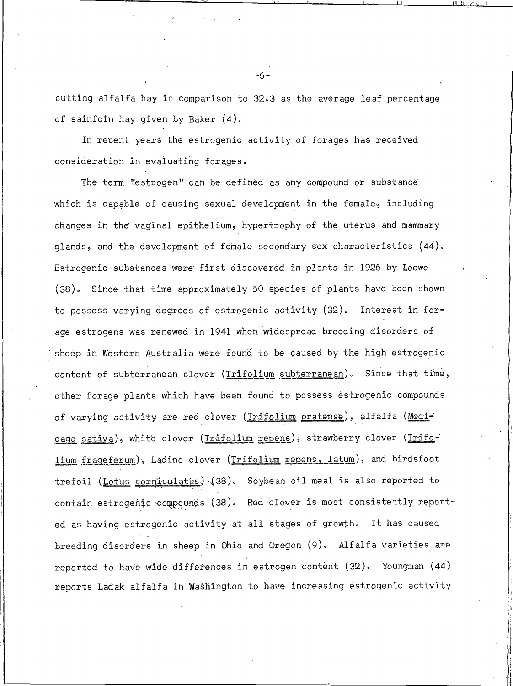cutting alfalfa hay in comparison to 32.3 as the average leaf percentage of sainfoin hay given by Baker (4).

In recent years the estrogenic activity of forages has received consideration in evaluating forages.

The term "estrogen" can be defined as any compound or substance which is capable of causing sexual development in the female, including changes in the vaginal epithelium, hypertrophy of the uterus and mammary glands, and the development of female secondary sex characteristics (44). Estrogenic substances were first discovered in plants in 1926 by Loewe (38). Since that time approximately 50 species of plants have been shown to possess varying degrees of estrogenic activity  $(32)$ . Interest in forage estrogens was renewed in 1941 when widespread breeding disorders of sheep in Western Australia were found to be caused by the high estrogenic content of subterranean clover (Trifolium subterranean). Since that time, other forage plants which have been found to possess estrogenic compounds of varying activity are red clover (Trifolium pratense), alfalfa (Medicago sativa), white clover (Trifolium repens), strawberry clover (Trifolium frageferum), Ladino clover (Trifolium repens, latum), and birdsfoot trefoil (Lotus corniculatus) (38). Soybean oil meal is also reported to contain estrogenic compounds (38). Red clover is most consistently reported as having estrogenic activity at all stages of growth. It has caused breeding disorders in sheep in Ohio and Oregon (9). Alfalfa varieties are reported to have wide differences in estrogen content (32). Youngman (44) reports Ladak alfalfa in Washington to have increasing estrogenic activity

∾6∾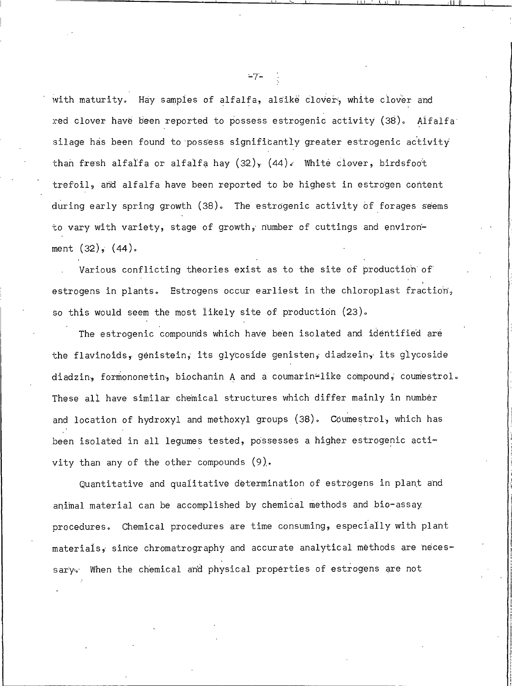with maturity. Hay samples of alfalfa, alsike clover, white clover and red clover have been reported to possess estrogenic activity (38). Alfalfa silage has been found to possess significantly greater estrogenic activity than fresh alfalfa or alfalfa hay  $(32)$ ,  $(44)$ . White clover, birdsfoot trefoil, and alfalfa have been reported to be highest in estrogen content during early spring growth (38). The estrogenic activity of forages seems to vary with variety, stage of growth, number of cuttings and environment  $(32)$ ,  $(44)$ .

Various conflicting theories exist as to the site of production of estrogens in plants. Estrogens occur earliest in the chloroplast fraction, so this would seem the most likely site of production (23).

The estrogenic compounds which have been isolated and identified are the flavinoids, genistein, its glycoside genisten, diadzein, its glycoside diadzin, formononetin, biochanin A and a coumarin-like compound, coumestrol. These all have similar chemical structures which differ mainly in number and location of hydroxyl and methoxyl groups (38). Coumestrol, which has been isolated in all legumes tested, possesses a higher estrogenic activity than any of the other compounds  $(9)$ .

Quantitative and qualitative determination of estrogens in plant and animal material can be accomplished by chemical methods and bio-assay procedures. Chemical procedures are time consuming, especially with plant materials, since chromatrography and accurate analytical methods are necessary. When the chemical and physical properties of estrogens are not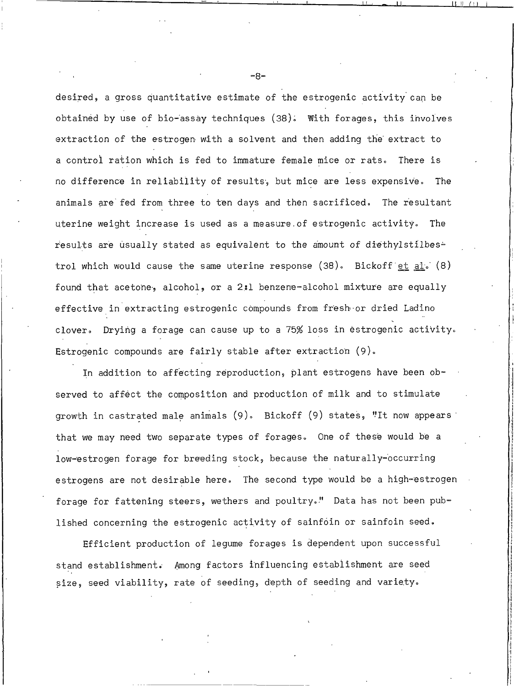desired, a gross quantitative estimate of the estrogenic activity can be obtained by use of bio-assay techniques (38). With forages, this involves extraction of the estrogen with a solvent and then adding the extract to a control ration which is fed to immature female mice or rats. There is no difference in reliability of results, but mice are less expensive. The animals are fed from three to ten days and then sacrificed. The resultant uterine weight increase is used as a measure of estrogenic activity. The results are usually stated as equivalent to the amount of diethylstilbes= trol which would cause the same uterine response (38). Bickoff et al. (8) found that acetone, alcohol, or a 2:1 benzene-alcohol mixture are equally effective in extracting estrogenic compounds from fresh or dried Ladino clover. Drying a forage can cause up to a 75% loss in estrogenic activity. Estrogenic compounds are fairly stable after extraction (9).

In addition to affecting reproduction, plant estrogens have been observed to affect the composition and production of milk and to stimulate growth in castrated male animals (9). Bickoff (9) states, "It now appears that we may need two separate types of forages. One of these would be a low-estrogen forage for breeding stock, because the naturally-occurring estrogens are not desirable here. The second type would be a high-estrogen forage for fattening steers, wethers and poultry." Data has not been published concerning the estrogenic activity of sainfoin or sainfoin seed.

Efficient production of lequme forages is dependent upon successful stand establishment. Among factors influencing establishment are seed size, seed viability, rate of seeding, depth of seeding and variety.

 $-8-$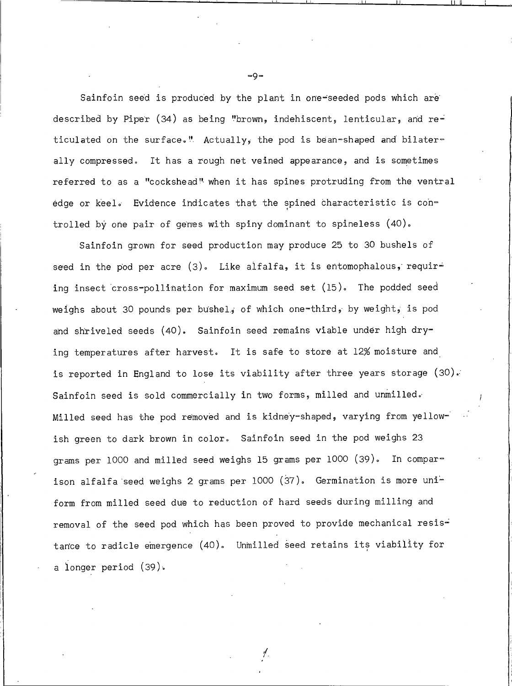Sainfoin seed is produced by the plant in one-seeded pods which are described by Piper (34) as being "brown, indehiscent, lenticular, and reticulated on the surface." Actually, the pod is bean-shaped and bilaterally compressed. It has a rough net veined appearance, and is sometimes referred to as a "cockshead" when it has spines protruding from the ventral edge or keel. Evidence indicates that the spined characteristic is controlled by one pair of genes with spiny dominant to spineless (40).

Sainfoin grown for seed production may produce 25 to 30 bushels of seed in the pod per acre (3). Like alfalfa, it is entomophalous, requiring insect cross-pollination for maximum seed set (15). The podded seed weighs about 30 pounds per bushel, of which one-third, by weight, is pod and shriveled seeds (40). Sainfoin seed remains viable under high drying temperatures after harvest. It is safe to store at 12% moisture and is reported in England to lose its viability after three years storage (30). Sainfoin seed is sold commercially in two forms, milled and unmilled. Milled seed has the pod removed and is kidney-shaped, varying from yellowish green to dark brown in color. Sainfoin seed in the pod weighs 23 grams per 1000 and milled seed weighs 15 grams per 1000 (39). In comparison alfalfa seed weighs 2 grams per 1000 (37). Germination is more uniform from milled seed due to reduction of hard seeds during milling and removal of the seed pod which has been proved to provide mechanical resistance to radicle emergence (40). Unmilled seed retains its viability for a longer period (39).

∥.

 $-Q =$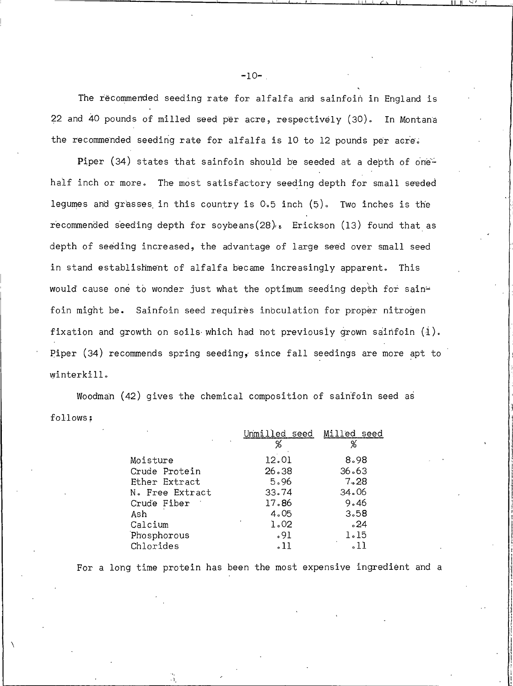The recommended seeding rate for alfalfa and sainfoin in England is 22 and 40 pounds of milled seed per acre, respectively (30). In Montana the recommended seeding rate for alfalfa is 10 to 12 pounds per acre.

Piper (34) states that sainfoin should be seeded at a depth of onehalf inch or more. The most satisfactory seeding depth for small seeded legumes and grasses in this country is 0.5 inch (5). Two inches is the recommended seeding depth for soybeans $(28)_k$ . Erickson  $(13)$  found that as depth of seeding increased, the advantage of large seed over small seed in stand establishment of alfalfa became increasingly apparent. This would cause one to wonder just what the optimum seeding depth for sainfoin might be. Sainfoin seed requires inoculation for proper nitrogen fixation and growth on soils which had not previously grown sainfoin (1). Piper  $(34)$  recommends spring seeding, since fall seedings are more apt to winterkill.

Woodman (42) gives the chemical composition of sainfoin seed as follows:

|                 | lled<br>seed | ed<br>seed |
|-----------------|--------------|------------|
|                 | %            |            |
| Moisture        | 12.01        | 8.98       |
| Crude Protein   | 26.38        | 36.63      |
| Ether Extract   | 5.96         | 7.28       |
| N. Free Extract | 33.74        | 34.06      |
| Crude Fiber     | 17.86        | 9.46       |
| Ash             | 4.05         | 3.58       |
| Calcium         | 1.02         | $\cdot 24$ |
| Phosphorous     | .91          | 1.15       |
| Chlorides       | .11          |            |

For a long time protein has been the most expensive ingredient and a

 $-10-$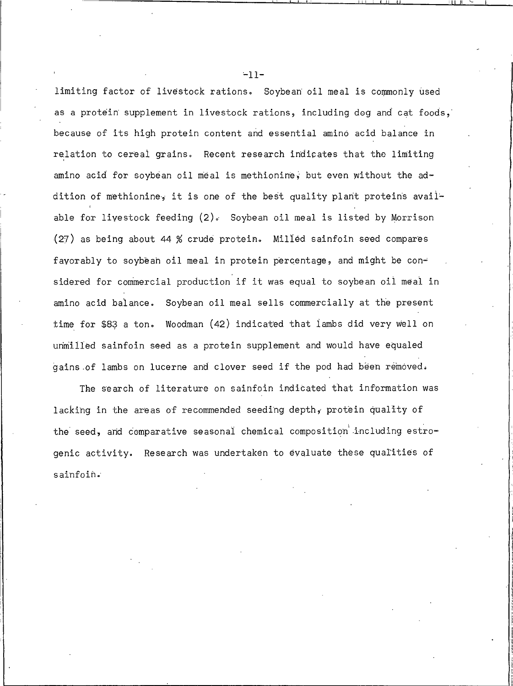limiting factor of livestock rations. Soybean oil meal is commonly used as a protein supplement in livestock rations, including dog and cat foods, because of its high protein content and essential amino acid balance in relation to cereal grains. Recent research indicates that the limiting amino acid for soybean oil meal is methionine, but even without the addition of methionine, it is one of the best quality plant proteins available for livestock feeding  $(2)$ . Soybean oil meal is listed by Morrison (27) as being about 44 % crude protein. Milled sainfoin seed compares fayorably to soybeah oil meal in protein percentage, and might be considered for commercial production if it was equal to soybean oil meal in amino acid balance. Soybean oil meal sells commercially at the present time for \$83 a ton. Woodman (42) indicated that lambs did very well on unmilled sainfoin seed as a protein supplement and would have equaled gains of lambs on lucerne and clover seed if the pod had been removed.

The search of literature on sainfoin indicated that information was lacking in the areas of recommended seeding depth, protein quality of the seed, and comparative seasonal chemical composition including estrogenic activity. Research was undertaken to evaluate these qualities of sainfoin.

 $-11-$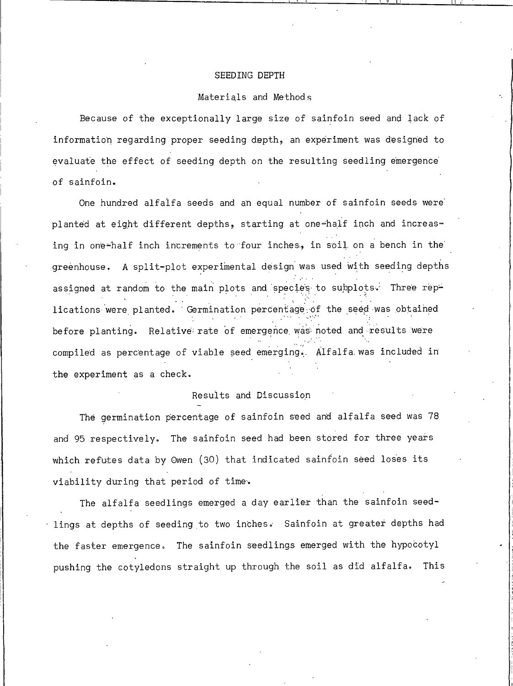#### SEEDING DEPTH

#### Materials and Methods

Because of the exceptionally large size of sainfoin seed and lack of information regarding proper seeding depth, an experiment was designed to evaluate the effect of seeding depth on the resulting seedling emergence of sainfoin.

One hundred alfalfa seeds and an equal number of sainfoin seeds were planted at eight different depths, starting at one-half inch and increasing in one-half inch increments to four inches, in soil on a bench in the greenhouse. A split-plot experimental design was used with seeding depths assigned at random to the main plots and species to subplots. Three replications were planted. Germination percentage of the seed was obtained before planting. Relative rate of emergence was noted and results were compiled as percentage of viable seed emerging. Alfalfa was included in the experiment as a check.

## Results and Discussion

The germination percentage of sainfoin seed and alfalfa seed was 78 and 95 respectively. The sainfoin seed had been stored for three years which refutes data by Owen (30) that indicated sainfoin seed loses its viability during that period of time.

The alfalfa seedlings emerged a day earlier than the sainfoin seedlings at depths of seeding to two inches. Sainfoin at greater depths had the faster emergence. The sainfoin seedlings emerged with the hypocotyl pushing the cotyledons straight up through the soil as did alfalfa. This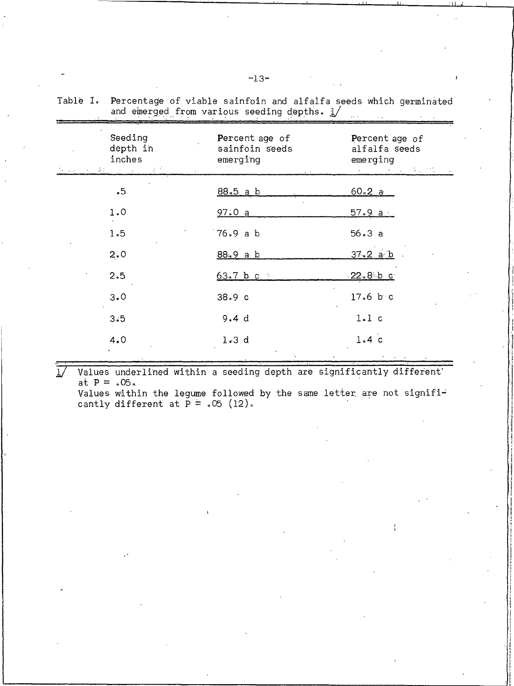| Seeding<br>depth in<br>inches<br>$\mathcal{A}=\{A\in\mathcal{A}\}$ , where $\mathcal{A}=\{A\}$<br>North Corp. | Percent age of<br>sainfoin seeds<br>emerging | Percent age of<br>alfalfa seeds<br>emerging |
|---------------------------------------------------------------------------------------------------------------|----------------------------------------------|---------------------------------------------|
| .5                                                                                                            | 88.5 a b                                     | e na sa Santa Tinggar<br>60.2a              |
| 1.0                                                                                                           | 97.0a                                        | $57.9a$ .                                   |
| 1.5                                                                                                           | 76.9 a b                                     | 56.3a                                       |
| 2.0                                                                                                           | 88.9 a b                                     | 37.2 a b                                    |
| 2.5                                                                                                           | 63.7 b c                                     | $-22.8$ b c                                 |
| 3.0                                                                                                           | 38.9c                                        | $17.6$ b c                                  |
| 3.5                                                                                                           | 9.4 d                                        | l.l c                                       |
| 4.0                                                                                                           | 1.3 d                                        | 1.4c                                        |

Table I. Percentage of viable sainfoin and alfalfa seeds which germinated and emerged from various seeding depths.  $1/$ 

Values underlined within a seeding depth are significantly different'  $\overline{17}$ at  $P = .05$ . Values within the legume followed by the same letter are not signifi-

cantly different at  $\bar{P} = .05$  (12).

 $-13-$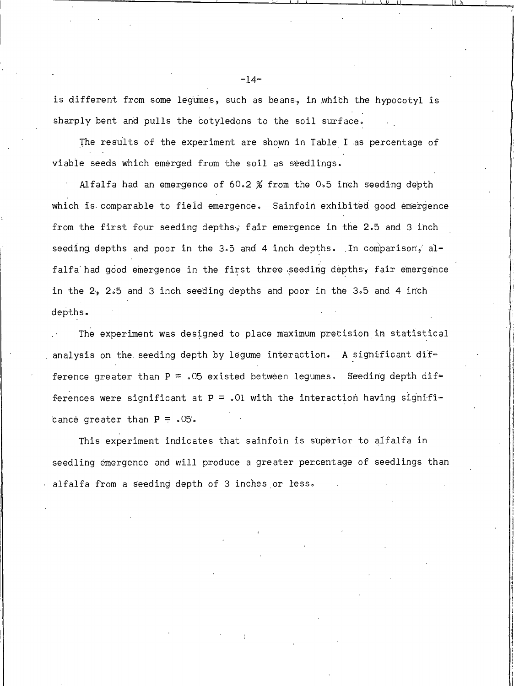is different from some legumes, such as beans, in which the hypocotyl is sharply bent and pulls the cotyledons to the soil surface.

The results of the experiment are shown in Table I as percentage of viable seeds which emerged from the soil as seedlings.

Alfalfa had an emergence of 60.2 % from the 0.5 inch seeding depth which is comparable to field emergence. Sainfoin exhibited good emergence from the first four seeding depths, fair emergence in the 2.5 and 3 inch seeding depths and poor in the 3.5 and 4 inch depths. In comparison, alfalfa had good emergence in the first three seeding depths, fair emergence in the 2, 2.5 and 3 inch seeding depths and poor in the 3.5 and 4 inch depths.

The experiment was designed to place maximum precision in statistical analysis on the seeding depth by legume interaction. A significant difference greater than  $P = .05$  existed between legumes. Seeding depth differences were significant at  $P = .01$  with the interaction having significance greater than  $P = .05$ .

This experiment indicates that sainfoin is superior to alfalfa in seedling emergence and will produce a greater percentage of seedlings than alfalfa from a seeding depth of 3 inches or less.

 $-14-$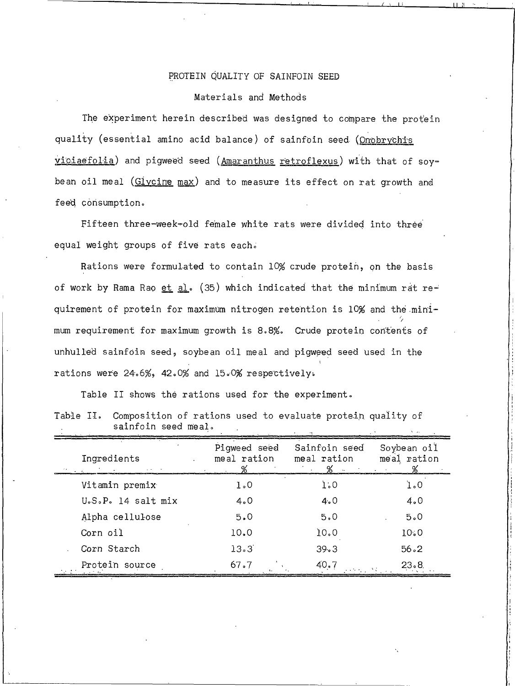# PROTEIN QUALITY OF SAINFOIN SEED

#### Materials and Methods

The experiment herein described was designed to compare the protein quality (essential amino acid balance) of sainfoin seed (Onobrychis viciaefolia) and pigweed seed (Amaranthus retroflexus) with that of soybean oil meal (Givcine max) and to measure its effect on rat growth and feed consumption.

Fifteen three-week-old female white rats were divided into three equal weight groups of five rats each.

Rations were formulated to contain 10% crude protein, on the basis of work by Rama Rao et al. (35) which indicated that the minimum rat requirement of protein for maximum nitrogen retention is 10% and the minimum requirement for maximum growth is 8.8%. Crude protein contents of unhulled sainfoin seed, soybean oil meal and pigweed seed used in the rations were 24.6%, 42.0% and 15.0% respectively.

Table II shows the rations used for the experiment.

| Table II. Composition of rations used to evaluate protein quality of |  |  |  |
|----------------------------------------------------------------------|--|--|--|
| sainfoin seed meal.                                                  |  |  |  |

| Ingredients        | Piqweed seed<br>meal ration | Sainfoin seed<br>meal ration<br>% - | Soybean oil<br>meal ration<br><b>Contract</b> |
|--------------------|-----------------------------|-------------------------------------|-----------------------------------------------|
| Vitamin premix     | 1.0                         | 1.0                                 | 1.0                                           |
| U.S.P. 14 salt mix | 4.0                         | 4.0                                 | 4.0                                           |
| Alpha cellulose    | 5.0                         | 5.0                                 | 5.0                                           |
| Corn oil           | 10.0                        | 10.0                                | 10.0                                          |
| Corn Starch        | 13.3                        | 39.3                                | 56.2                                          |
| Protein source     | 67.7                        | 40.7<br>and the control of the con- | 23.8                                          |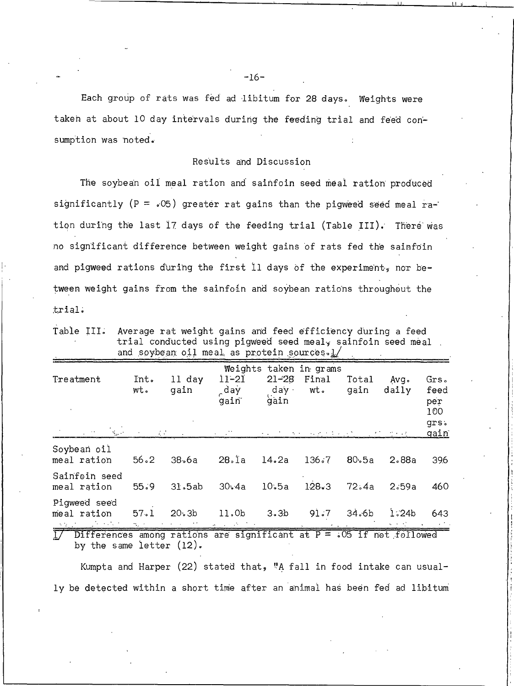Each group of rats was fed ad libitum for 28 days. Weights were taken at about 10 day intervals during the feeding trial and feed consumption was noted.

### Results and Discussion

The soybean oil meal ration and sainfoin seed meal ration produced significantly (P =  $.05$ ) greater rat gains than the pigweed seed meal ration during the last 17 days of the feeding trial (Table III). There was no significant difference between weight gains of rats fed the sainfoin and pigweed rations during the first 11 days of the experiment, nor between weight gains from the sainfoin and soybean rations throughout the trial.

Table III. Average rat weight gains and feed efficiency during a feed trial conducted using pigweed seed meal, sainfoin seed meal. and soybean oil meal as protein sources.l/

| Treatment<br>$\mathcal{L}_{\rm{max}}$                                       | Int.<br>wt.<br>9 F. | 11 day<br>gain    | $11 - 21$<br>day.<br>gain | $21 - 28$<br>day ·<br>gain | Weights taken in grams<br>Final<br>wt.<br><b>All of the State Control</b> | Total<br>gain      | Ava.<br>daily<br>$\Omega_{\rm{max}}=2.2$ | Grs.<br>feed<br>per<br>100<br>grs.<br>gain |
|-----------------------------------------------------------------------------|---------------------|-------------------|---------------------------|----------------------------|---------------------------------------------------------------------------|--------------------|------------------------------------------|--------------------------------------------|
| Soybean oil                                                                 |                     |                   |                           |                            |                                                                           |                    |                                          |                                            |
| meal ration                                                                 | 56.2                | 38.6a             | 28.1a 14.2a               |                            | 136.7                                                                     | 80 <sub>°</sub> 5a | 2.88a                                    | 39.6                                       |
| Sainfoin seed<br>meal ration                                                | 55.9                | 31.5ab            | 30.4a                     | 10.5a                      | 128.3                                                                     | 72.4a              | 2.59a                                    | 460                                        |
| Piqweed seed<br>meal ration                                                 | 57.1                | 20.3 <sub>b</sub> | 11.0b                     | 3.3 <sub>b</sub>           | 91.7                                                                      | 34.6 <sub>b</sub>  | 1.24 <sub>b</sub>                        | 643.                                       |
| $1/$ Differences among rations are significant at $P = .05$ if not followed |                     |                   |                           |                            |                                                                           |                    |                                          |                                            |

by the same letter  $(12)$ .

Kumpta and Harper (22) stated that, "A fall in food intake can usually be detected within a short time after an animal has been fed ad libitum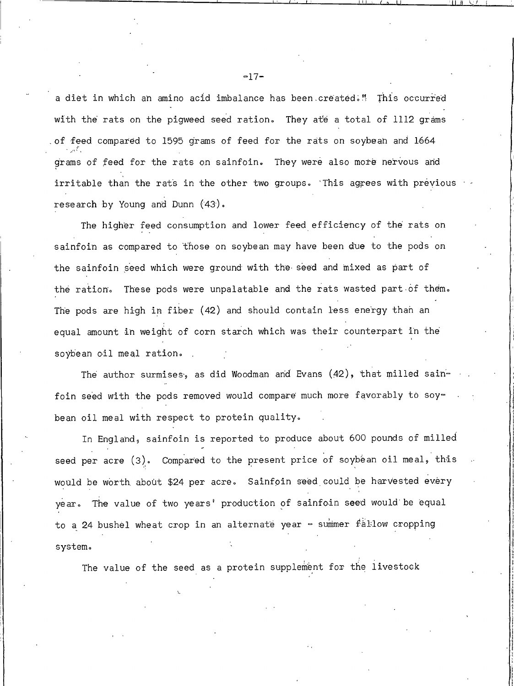a diet in which an amino acid imbalance has been created." This occurred with the rats on the pigweed seed ration. They ate a total of 1112 grams of feed compared to 1595 grams of feed for the rats on soybean and 1664 grams of feed for the rats on sainfoin. They were also more nervous and irritable than the rats in the other two groups. This agrees with previous research by Young and Dunn (43).

The higher feed consumption and lower feed efficiency of the rats on sainfoin as compared to those on soybean may have been due to the pods on the sainfoin seed which were ground with the seed and mixed as part of the ration. These pods were unpalatable and the rats wasted part of them. The pods are high in fiber (42) and should contain less energy than an equal amount in weight of corn starch which was their counterpart in the soybean oil meal ration.

The author surmises, as did Woodman and Evans (42), that milled sainfoin seed with the pods removed would compare much more favorably to soybean oil meal with respect to protein quality.

In England, sainfoin is reported to produce about 600 pounds of milled seed per acre (3). Compared to the present price of soybean oil meal, this would be worth about \$24 per acre. Sainfoin seed could be harvested every year. The value of two years' production of sainfoin seed would be equal to a 24 bushel wheat crop in an alternate year - summer fallow cropping system.

The value of the seed as a protein supplement for the livestock

 $-17-$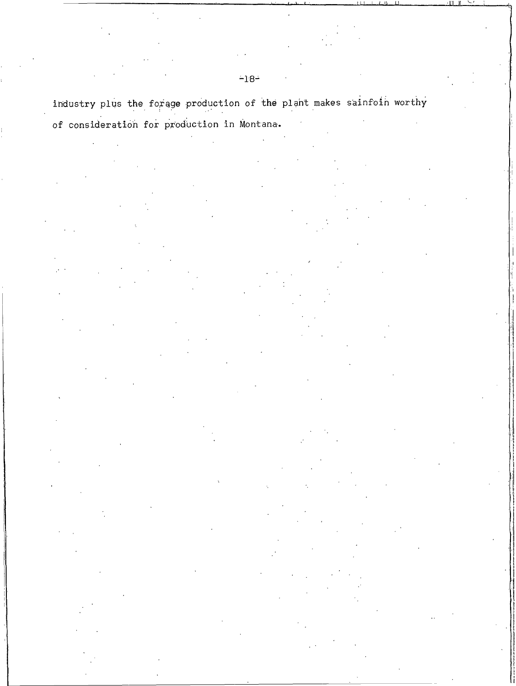industry plus the forage production of the plant makes sainfoin worthy of consideration for production in Montana.

 $-18-$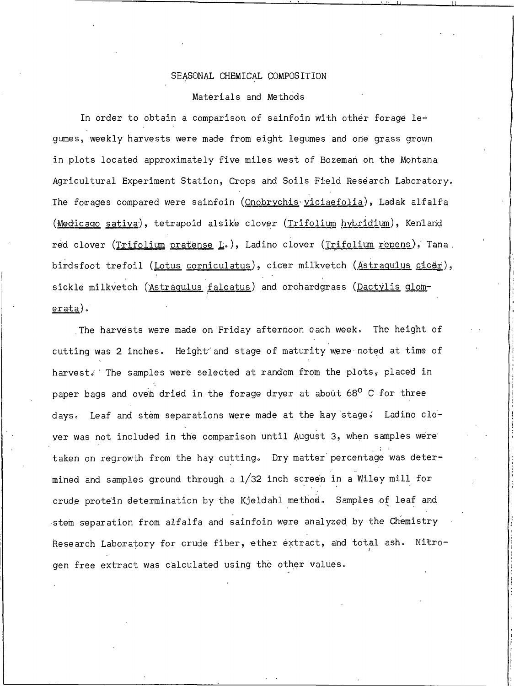#### SEASONAL CHEMICAL COMPOSITION

#### Materials and Methods

In order to obtain a comparison of sainfoin with other forage le= gumes, weekly harvests were made from eight legumes and one grass grown in plots located approximately five miles west of Bozeman on the Montana Agricultural Experiment Station, Crops and Soils Field Research Laboratory. The forages compared were sainfoin (Onobrychis viciaefolia), Ladak alfalfa (Medicago sativa), tetrapoid alsike clover (Trifolium hybridium), Kenland red clover (Trifolium pratense L.), Ladino clover (Trifolium repens), Tana. birdsfoot trefoil (Lotus corniculatus), cicer milkvetch (Astragulus cicer), sickle milkvetch (Astragulus falcatus) and orchardgrass (Dactylis glom $erata$ ).

The harvests were made on Friday afternoon each week. The height of cutting was 2 inches. Height and stage of maturity were noted at time of harvest. The samples were selected at random from the plots, placed in paper bags and oven dried in the forage dryer at about 68° C for three days. Leaf and stem separations were made at the hay stage. Ladino cloyer was not included in the comparison until August 3, when samples were taken on regrowth from the hay cutting. Dry matter percentage was determined and samples ground through a 1/32 inch screen in a Wiley mill for crude protein determination by the Kjeldahl method. Samples of leaf and stem separation from alfalfa and sainfoin were analyzed by the Chemistry Research Laboratory for crude fiber, ether extract, and total ash. Nitrogen free extract was calculated using the other values.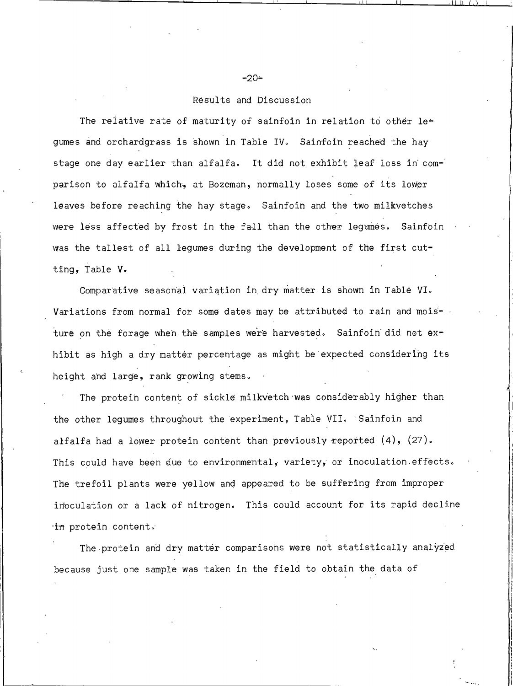## Results and Discussion

The relative rate of maturity of sainfoin in relation to other legumes and orchardgrass is shown in Table IV. Sainfoin reached the hay stage one day earlier than alfalfa. It did not exhibit leaf loss in comparison to alfalfa which, at Bozeman, normally loses some of its lower leaves before reaching the hay stage. Sainfoin and the two milkvetches were less affected by frost in the fall than the other legumes. Sainfoin was the tallest of all legumes during the development of the first cutting, Table V.

Comparative seasonal variation in dry matter is shown in Table VI. Variations from normal for some dates may be attributed to rain and moisture on the forage when the samples were harvested. Sainfoin did not exhibit as high a dry matter percentage as might be expected considering its height and large, rank growing stems.

The protein content of sickle milkvetch was considerably higher than the other legumes throughout the experiment, Table VII. Sainfoin and alfalfa had a lower protein content than previously reported  $(4)$ ,  $(27)$ . This could have been due to environmental, variety, or inoculation effects. The trefoil plants were yellow and appeared to be suffering from improper inoculation or a lack of nitrogen. This could account for its rapid decline in protein content.

The protein and dry matter comparisons were not statistically analyzed because just one sample was taken in the field to obtain the data of

-20∸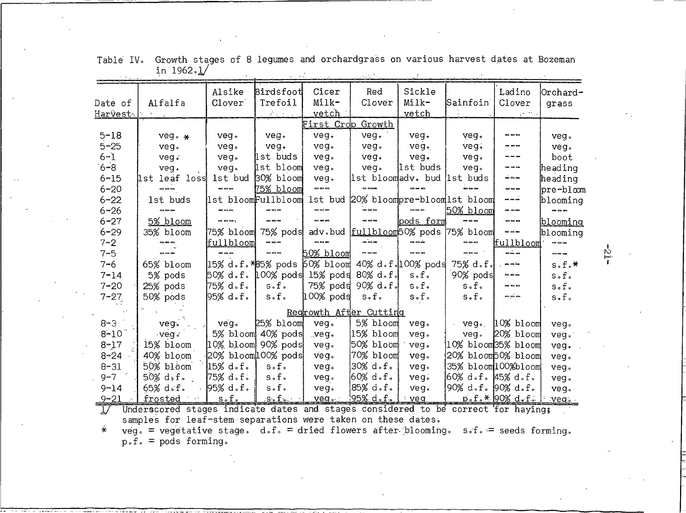|                    | Alfalfa                                                                           | Alsike<br>Clover                          | Birdsfoot<br>Trefoil | Cicer<br>Milk-           | Red<br>Clover           | Sickle<br>Milk-             | Sainfoin                                          | Ladino<br>Clover             | Orchard-        |
|--------------------|-----------------------------------------------------------------------------------|-------------------------------------------|----------------------|--------------------------|-------------------------|-----------------------------|---------------------------------------------------|------------------------------|-----------------|
| Date of<br>Harvest |                                                                                   |                                           | 会会所                  | vetch                    |                         | <u>vetch</u>                |                                                   |                              | grass           |
|                    |                                                                                   |                                           |                      | <u>First Crop Growth</u> |                         |                             |                                                   |                              |                 |
| $5 - 18$           |                                                                                   |                                           |                      | veg.                     | veg.                    | veg.                        |                                                   | ---                          |                 |
| $5 - 25$           | $veg \cdot \star$                                                                 | veg.                                      | veg.                 |                          |                         |                             | yeg.                                              |                              | veg.            |
| $6 - 1$            | veg.                                                                              | veg.                                      | veg.                 | veg.                     | veg.                    | veg.                        | veg.                                              |                              | veg.            |
|                    | veg.                                                                              | veg.                                      | lst buds             | veg.                     | veg.                    | veg.                        | veg.                                              | ---                          | boot            |
| $6 - 8$            | veg.                                                                              | veg.                                      | lst bloom            | veg.                     | veg.                    | lst buds                    | veg.                                              | حاذف                         | heading         |
| $6 - 15$           | lst leaf loss                                                                     | 1st bud                                   | 30% bloom            | veg.                     |                         | 1st bloomadv. bud 1st buds  |                                                   |                              | heading         |
| $6 - 20$           | ---                                                                               | $\Rightarrow$ $\Rightarrow$ $\Rightarrow$ | 75% bloom            | $\overline{\phantom{a}}$ |                         |                             |                                                   | ---                          | pre-bloom       |
| $6 - 22$           | 1st buds                                                                          | 1st bloomFullbloom                        |                      |                          |                         |                             | 1st bud 20% bloompre-bloom 1st bloom              | $- - -$                      | blooming        |
| $6 - 26$           |                                                                                   |                                           |                      |                          | `---                    | $- - -$                     | 50% bloom                                         | $\sim$ $\sim$ $\sim$         |                 |
| $6 - 27$           | 5% bloom                                                                          | $= - -$                                   | ---                  | $- - -$                  | ---                     | pods form                   | ---                                               | ---                          | <u>blooming</u> |
| $6 - 29$           | 35% bloom                                                                         | 75% bloom 75% pods                        |                      |                          |                         |                             | adv.bud fullbloom50% pods 75% bloom               | ---                          | blooming        |
| $7 - 2$            |                                                                                   | fullbloom                                 | $\frac{1}{2}$        | ---                      | $\frac{1}{2}$           | $= - +$                     | $\qquad \qquad \Longleftrightarrow$               | fullbloom                    | $\frac{1}{2}$   |
| $7 - 5$            | $= - -$                                                                           | $\bullet$ $\bullet$                       | $\Rightarrow$        | 50% bloom                | $= 00$                  | $\overline{\phantom{a}}$    | $\bullet$ $\bullet$ $\bullet$ $\dot{\phantom{a}}$ | ذخاذ                         | ---             |
| $7 - 6$            | 65% bloom                                                                         | 15% d.f.*85% pods                         |                      |                          |                         | 60% bloom 40% d.f.100% pods | 75% d.f.                                          | $- - -$                      | $s.f.*$         |
| $7 - 14$           | 5% pods                                                                           | 50% d.f. 100% pods 15% pods 80% d.f.      |                      |                          |                         | $s$ .f.                     | 90% pods                                          | $\sim$ $\sim$ $\sim$         | $s$ .f.         |
| $7 - 20$           | 25% pods                                                                          | 75% d.f.                                  | $s \cdot f \cdot$    |                          | 75% podd 90% d.f.       | $s$ .f.                     | $s$ .f.                                           | $= - -$                      | $s$ .f.         |
| $7 - 27$           | 50% pods                                                                          | 95% d.f.                                  | $s$ .f.              | 100% pods                | $s$ .f.                 | $s$ .f.                     | $s$ .f.                                           | $- - -$                      | s.f.            |
|                    |                                                                                   |                                           |                      |                          | Regrowth After Cutting  |                             |                                                   |                              |                 |
| $8 - 3$            | veg.                                                                              | veg.                                      | 25% bloom            | veg.                     | 5% bloom                | veg.                        |                                                   | $-$ yeg. $ 10\%$ bloom       | veg.            |
| $8 - 10$           | $veg \circ$                                                                       |                                           | 5% bloom 40% pods    | $vec{ve}$                | 15% bloom               | veg.                        | veg.                                              | 20% bloom                    | veg.            |
| $8 - 17$           | 15% bloom                                                                         | $10\%$ bloom $90\%$ pods                  |                      | veg.                     | 50% bloom               | veg.                        | 10% bloom35% bloom                                |                              | veg.            |
| $8 - 24$           | 40% bloom                                                                         | $20\%$ bloom $100\%$ pods                 |                      | veg.                     | 70% bloom               | veg.                        | 20% bloom50% bloom                                |                              | veg.            |
| $8 - 31$           | 50% bloom                                                                         | $15\%$ d.f.                               | $s \circ f \circ$    | yeg.                     | 30% d.f.                | veg.                        | 35% bloom100%bloom                                |                              | veg.            |
| $9 - 7$            | $5.0\%$ d, f.                                                                     | 75% d.f.                                  | $s$ .f.              | veg.                     | !60% d.f.               | veg.                        | 60% d.f. 45% d.f.                                 |                              | veg.            |
| $9 - 14$           | $65\%$ d.f.                                                                       | $95%$ d.f.                                | $s$ .f.              | veg.                     | 85% d.f.                | veg.                        | 90% d.f. 90% d.f.                                 |                              | veg.            |
| $9 - 21$           | frosted                                                                           | s.f.                                      | $\perp$ s.f. $\perp$ | veg.                     | <u> 195% d.f.   veg</u> |                             |                                                   | <u>p.f.* 90% d.f.   veg.</u> |                 |
| $1/\sqrt{2}$       | Underscored stages indicate dates and stages considered to be correct for haying; |                                           |                      |                          |                         |                             |                                                   |                              |                 |
|                    | samples for leaf-stem separations were taken on these dates.                      |                                           |                      |                          |                         |                             |                                                   |                              |                 |

Table IV. Growth stages of 8 legumes and orchardgrass on various harvest dates at Bozeman in  $1962.1$ /

 $veg.$  = vegetative stage. d.f. = dried flowers after blooming. s.f. = seeds forming.<br>p.f. = pods forming.  $\ast$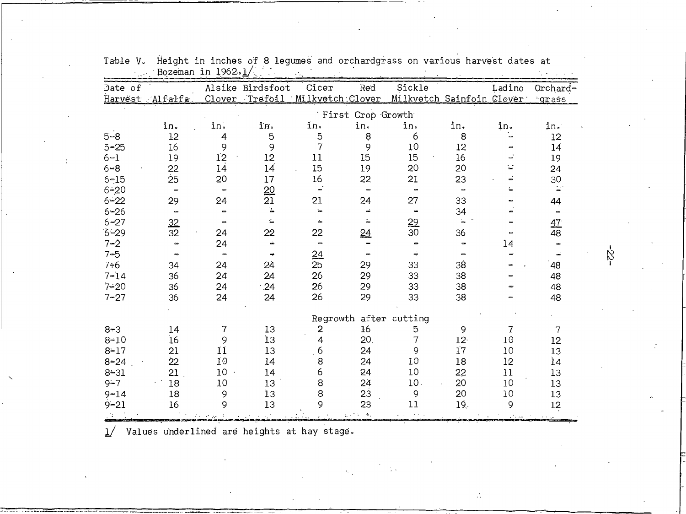|          | Bozeman in 1962.1/           |                |                  |                          |                              |                           |                 |        |                       |
|----------|------------------------------|----------------|------------------|--------------------------|------------------------------|---------------------------|-----------------|--------|-----------------------|
| Date of  |                              |                | Alsike Birdsfoot | Cicer                    | Red                          | Sickle                    |                 | Ladino | Orchard-              |
|          | Harvest Alfalfa              |                | Clover Trefoil   | Milkvetch Clover         |                              | Milkvetch Sainfoin Clover |                 |        | grass                 |
|          |                              |                |                  |                          | First Crop Growth            |                           |                 |        |                       |
|          |                              |                |                  |                          |                              |                           |                 |        |                       |
|          | in.                          | in.            | in.              | in.                      | in.                          | in.                       | in.             | in.    | in.                   |
| $5 - 8$  | 12                           | 4              | $\mathbf 5$      | $\mathbf 5$              | 8                            | 6                         | 8               |        | 12                    |
| $5 - 25$ | 16                           | 9              | 9                | $\overline{7}$           | 9                            | 10                        | 12              |        | 14                    |
| $6 - 1$  | 19                           | 12             | 12               | 11                       | 15                           | 15                        | 16              |        | 19                    |
| $6 - 8$  | 22                           | 14             | 14               | 15                       | 19                           | 20                        | 20              |        | 24                    |
| $6 - 15$ | 25                           | 20             | 17               | 16                       | 22                           | 21                        | 23              |        | 30                    |
| $6 - 20$ |                              |                | <u>20</u>        |                          | $\qquad \qquad \blacksquare$ | $\blacksquare$            | <b></b>         |        | $\omega^*$            |
| $6 - 22$ | 29                           | 24             | 21               | 21                       | 24                           | 27                        | 33              |        | 44                    |
| $6 - 26$ | $\qquad \qquad \blacksquare$ | $\blacksquare$ |                  | $\blacksquare$           |                              |                           | 34              |        | $\blacksquare$        |
| $6 - 27$ | 32                           |                |                  | à.                       |                              | 29                        |                 |        | 47 <sup>°</sup>       |
| $6 - 29$ | 32                           | 24             | 22               | 22                       | <u>24</u>                    | 30 <sup>°</sup>           | 36              |        | 48                    |
| $7 - 2$  | -                            | 24             | خه               | $\overline{\phantom{0}}$ |                              |                           |                 | 14     | $\blacksquare$        |
| $7 - 5$  |                              | $\blacksquare$ |                  | 24                       |                              |                           |                 |        | $\tilde{\phantom{a}}$ |
| $7 - 6$  | 34                           | 24             | 24               | $\overline{25}$          | 29                           | 33                        | 38              |        | 48                    |
| $7 - 14$ | 36                           | 24             | 24               | 26                       | 29                           | 33                        | 38              |        | 48                    |
| $7 - 20$ | 36                           | 24             | $\cdot$ 24       | 26                       | 29                           | 33                        | 38              |        | 48                    |
| $7 - 27$ | 36                           | 24             | 24               | 26                       | 29                           | 33                        | 38              |        | 48                    |
|          |                              |                |                  |                          | Regrowth after cutting       |                           |                 |        |                       |
| $8 - 3$  | 14                           | 7              | 13               | 2                        | 16                           | 5                         | 9               | 7      | 7                     |
| $8 - 10$ | 16                           | 9              | İЗ               | 4                        | 20.                          | 7                         | 12 <sup>1</sup> | 10     | 12                    |
| $8 - 17$ | 21                           | 11             | 13               | 6                        | 24                           | 9                         | 17              | 10     | 13                    |
|          |                              | 10             |                  |                          |                              | 10                        |                 |        |                       |
| $8 - 24$ | $\overline{22}$              |                | 14               | 8                        | 24                           |                           | 18              | 12     | 14                    |
| $8 - 31$ | 21                           | 10             | 14               | 6                        | 24                           | 10                        | 22              | 11     | 13                    |
| $9 - 7$  | 18                           | 10             | 13               | 8                        | 24                           | 10.                       | 20              | 10     | 13                    |
| $9 - 14$ | 18                           | 9              | ÌЗ               | 8                        | 23                           | 9                         | 20              | 10     | 13                    |
| $9 - 21$ | 16                           | 9              | 13               | 9                        | 23                           | 11                        | 19.             | 9      | 12                    |
|          |                              |                |                  |                          |                              |                           |                 |        |                       |

Table V. Height in inches of 8 legumes and orchardgrass on various harvest dates at

Values underlined are heights at hay stage.  $\frac{1}{2}$ 

 $-25 -$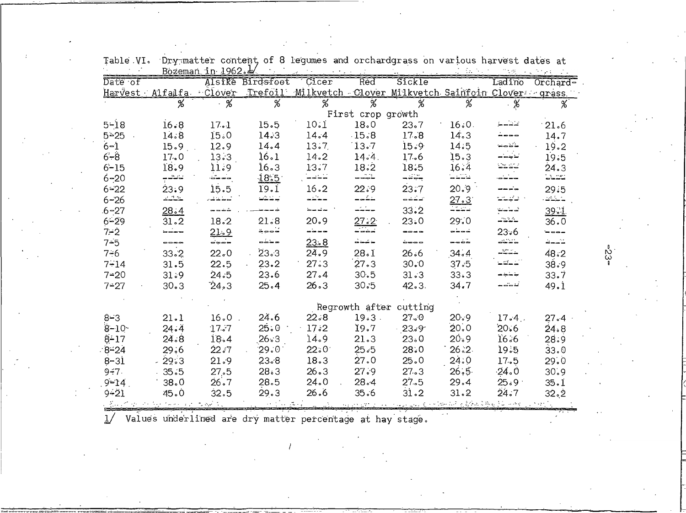|                             |                        | Bozeman in $1962.4$ |                  |                                                          |                          |                        |                     |                                                                                                                                                                                                                                                                                                                                                                                              |             |
|-----------------------------|------------------------|---------------------|------------------|----------------------------------------------------------|--------------------------|------------------------|---------------------|----------------------------------------------------------------------------------------------------------------------------------------------------------------------------------------------------------------------------------------------------------------------------------------------------------------------------------------------------------------------------------------------|-------------|
| $\overline{\text{Date of}}$ |                        |                     | Alsike Birdsfoot | Cicer                                                    | Red                      | Sickle                 |                     | Ladino                                                                                                                                                                                                                                                                                                                                                                                       | Orchard=    |
|                             | Harvest Alfalfa Clover |                     | Trefoil          | Milkvetch Clover Milkvetch Sainfoin Clover grass         |                          |                        |                     |                                                                                                                                                                                                                                                                                                                                                                                              |             |
|                             | %                      | %                   | $\overline{\%}$  | $\overline{\mathscr{C}}$                                 | $\overline{\mathscr{C}}$ | $\frac{1}{6}$          | ℅                   | . %                                                                                                                                                                                                                                                                                                                                                                                          | %           |
|                             |                        |                     |                  |                                                          | First crop growth        |                        |                     |                                                                                                                                                                                                                                                                                                                                                                                              |             |
| $5 - 18$                    | 16.8                   | 17.1                | 15.5             | 10.1                                                     | 18.0                     | 23.7                   | 16:0.               |                                                                                                                                                                                                                                                                                                                                                                                              | 21.6        |
| 5425                        | 14.8                   | 15.0                | 14.3             | 14.4                                                     | $-15.8$                  | 17.8                   | 14.3                |                                                                                                                                                                                                                                                                                                                                                                                              | 14.7        |
| $6 - 1$                     | 15.9                   | 12.9                | 14.4             | 13.7                                                     | 13.7                     | 15.9                   | 14.5                |                                                                                                                                                                                                                                                                                                                                                                                              | 19.2        |
| $6 - 8$                     | 17.0                   | 13.3                | 16.1             | 14.2                                                     | 14.4.                    | 17.6                   | 15.3                |                                                                                                                                                                                                                                                                                                                                                                                              | 19.5        |
| $6 - 15$                    | 18.9                   | 11.9                | 16.3             | 13.7                                                     | 18.2                     | 18:5                   | 16.4                |                                                                                                                                                                                                                                                                                                                                                                                              | 24.3        |
| $6 - 20$                    | للمشام                 |                     | 18.5             | $\sim$ $\sim$ $\sim$                                     | خوده                     | بتجاذب                 | لتأتياتها           |                                                                                                                                                                                                                                                                                                                                                                                              | $-22$       |
| $6 - 22$                    | 23.9                   | 15.5                | 19.1             | 16.2                                                     | 22.9                     | 23:7                   | 20.9                |                                                                                                                                                                                                                                                                                                                                                                                              | 29:5        |
| $6 - 26$                    | كالمالماك              |                     | تمتلثها          | دكند                                                     | لنكدد                    | المشقات                | 27.3                |                                                                                                                                                                                                                                                                                                                                                                                              | لمتحفظه     |
| $6 - 27$                    | 28.4                   |                     |                  | المتبالية                                                | سينبث                    | 33:2                   | 1121                | $\frac{1}{2} \frac{1}{2} \frac{1}{2} \frac{1}{2} \frac{1}{2} \frac{1}{2} \frac{1}{2} \frac{1}{2} \frac{1}{2} \frac{1}{2} \frac{1}{2} \frac{1}{2} \frac{1}{2} \frac{1}{2} \frac{1}{2} \frac{1}{2} \frac{1}{2} \frac{1}{2} \frac{1}{2} \frac{1}{2} \frac{1}{2} \frac{1}{2} \frac{1}{2} \frac{1}{2} \frac{1}{2} \frac{1}{2} \frac{1}{2} \frac{1}{2} \frac{1}{2} \frac{1}{2} \frac{1}{2} \frac{$ | <u>39.1</u> |
| $6 - 29$                    | 31.2                   | 18.2                | 21.8             | 20.9                                                     | $\frac{27.2}{-}$         | 23.0                   | 29.0                | لأكادب                                                                                                                                                                                                                                                                                                                                                                                       | 36.0        |
| 7≓2                         | .<br>செச்சு            | 21.9                | مُصْدِمٌ         | ----                                                     |                          | ----                   | خدخا                | 23.6                                                                                                                                                                                                                                                                                                                                                                                         |             |
| $7 - 5$                     | ----                   | -⊶⊶-                | $- - - -$        | 23.8                                                     | خنخذ                     | ówoo                   | ----                | د د د                                                                                                                                                                                                                                                                                                                                                                                        | .<br>கேசு – |
| $7 - 6$                     | 33.2                   | 22.0                | 23.3             | 24.9                                                     | 28.1                     | 26.6                   | $34 - 4$            | حميد                                                                                                                                                                                                                                                                                                                                                                                         | 48.2        |
| $7 - 14$                    | 31.5                   | 22.5                | 23.2             | 27:3                                                     | 27.3                     | 30.0                   | 37.5                | ذكتم                                                                                                                                                                                                                                                                                                                                                                                         | 38.9        |
| $7 - 20$                    | 31.9                   | 24.5                | 23.6             | 27.4                                                     | 30.5                     | 31.3                   | 33.3                |                                                                                                                                                                                                                                                                                                                                                                                              | 33.7        |
| $7 - 27$                    | 30.3                   | 24.3                | 25.4             | 26.3                                                     | 30.5                     | 42.3.                  | 34.7                |                                                                                                                                                                                                                                                                                                                                                                                              | 49.1        |
|                             |                        |                     |                  |                                                          |                          | Regrowth after cutting |                     |                                                                                                                                                                                                                                                                                                                                                                                              |             |
| $8 - 3$                     | 21.1                   | 16.0                | 24.6             | 22.8                                                     | 19.3.                    | 27.0                   | 20.9                | 17.4.                                                                                                                                                                                                                                                                                                                                                                                        | $27 - 4$    |
| $8 - 10$                    | 24.4                   | 17.7                | 25:0             | 17:2                                                     | 19.7                     | $-23.9 -$              | 20.0                | 20.6                                                                                                                                                                                                                                                                                                                                                                                         | 24.8        |
| $8 - 17$                    | 24.8                   | 18.4                | 26.3             | 14.9                                                     | 21.3                     | 23.0                   | 20.9                | 16.6                                                                                                                                                                                                                                                                                                                                                                                         | 28:9        |
| $8 - 24$                    | 29.6                   | 22:7                | $29.0^{\circ}$   | $22.0^{\circ}$                                           | 25.5                     | 28.0                   | 26.2                | 19.5                                                                                                                                                                                                                                                                                                                                                                                         | 33.0        |
| $8 - 31$                    | $-29.3$                | 21.9                | 23.8             | 18.3                                                     | 27.0                     | 25.0                   | 24:0                | 17.5                                                                                                                                                                                                                                                                                                                                                                                         | 29.0        |
| $9 - 7$ .                   | $-35.5$                | 27,5                | 28:3             | 26.3                                                     | 27.9                     | 27.3                   | 26.5                | $-24.0$                                                                                                                                                                                                                                                                                                                                                                                      | 30.9        |
| $9 = 14$                    | 38.0                   | 26.7                | 28.5             | 24.0                                                     | 28.4                     | 27.5                   | 29.4                | $25.9 -$                                                                                                                                                                                                                                                                                                                                                                                     | 35.1        |
| $9 - 21$                    | 45.0                   | 32.5                | 29.3             | 26.6                                                     | 35.6                     | 31.2                   | 31.2                | 24.7                                                                                                                                                                                                                                                                                                                                                                                         | 32.2        |
|                             |                        |                     |                  |                                                          |                          |                        | 自治 元年 经完全成本转运债值 三共乐 |                                                                                                                                                                                                                                                                                                                                                                                              |             |
|                             |                        |                     |                  | Values underlined are dry matter percentage at hay store |                          |                        |                     |                                                                                                                                                                                                                                                                                                                                                                                              |             |

Table VI. Dry matter content, of 8 legumes and orchardgrass on various harvest dates at

matter percentage at hay stage.

 $\mathcal{Z}_{\mathbb{Z}}$